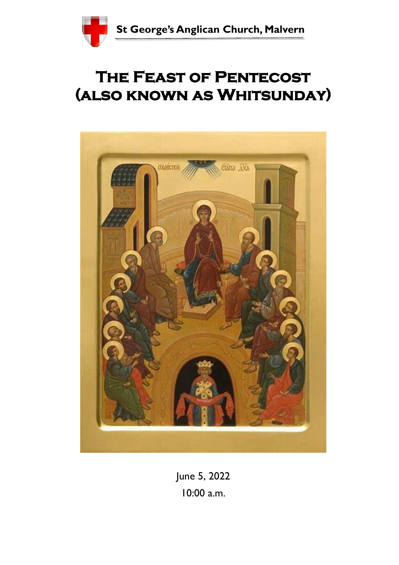

# **The Feast of Pentecost (also known as Whitsunday)**



June 5, 2022 10:00 a.m.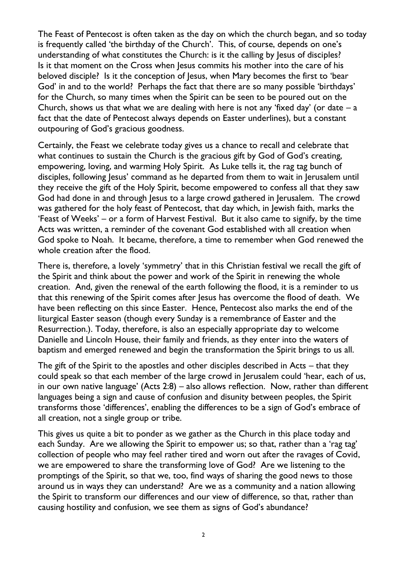The Feast of Pentecost is often taken as the day on which the church began, and so today is frequently called 'the birthday of the Church'. This, of course, depends on one's understanding of what constitutes the Church: is it the calling by Jesus of disciples? Is it that moment on the Cross when Jesus commits his mother into the care of his beloved disciple? Is it the conception of Jesus, when Mary becomes the first to 'bear God' in and to the world? Perhaps the fact that there are so many possible 'birthdays' for the Church, so many times when the Spirit can be seen to be poured out on the Church, shows us that what we are dealing with here is not any 'fixed day' (or date  $- a$ fact that the date of Pentecost always depends on Easter underlines), but a constant outpouring of God's gracious goodness.

Certainly, the Feast we celebrate today gives us a chance to recall and celebrate that what continues to sustain the Church is the gracious gift by God of God's creating, empowering, loving, and warming Holy Spirit. As Luke tells it, the rag tag bunch of disciples, following Jesus' command as he departed from them to wait in Jerusalem until they receive the gift of the Holy Spirit, become empowered to confess all that they saw God had done in and through Jesus to a large crowd gathered in Jerusalem. The crowd was gathered for the holy feast of Pentecost, that day which, in Jewish faith, marks the 'Feast of Weeks' – or a form of Harvest Festival. But it also came to signify, by the time Acts was written, a reminder of the covenant God established with all creation when God spoke to Noah. It became, therefore, a time to remember when God renewed the whole creation after the flood.

There is, therefore, a lovely 'symmetry' that in this Christian festival we recall the gift of the Spirit and think about the power and work of the Spirit in renewing the whole creation. And, given the renewal of the earth following the flood, it is a reminder to us that this renewing of the Spirit comes after Jesus has overcome the flood of death. We have been reflecting on this since Easter. Hence, Pentecost also marks the end of the liturgical Easter season (though every Sunday is a remembrance of Easter and the Resurrection.). Today, therefore, is also an especially appropriate day to welcome Danielle and Lincoln House, their family and friends, as they enter into the waters of baptism and emerged renewed and begin the transformation the Spirit brings to us all.

The gift of the Spirit to the apostles and other disciples described in Acts – that they could speak so that each member of the large crowd in Jerusalem could 'hear, each of us, in our own native language' (Acts 2:8) – also allows reflection. Now, rather than different languages being a sign and cause of confusion and disunity between peoples, the Spirit transforms those 'differences', enabling the differences to be a sign of God's embrace of all creation, not a single group or tribe.

This gives us quite a bit to ponder as we gather as the Church in this place today and each Sunday. Are we allowing the Spirit to empower us; so that, rather than a 'rag tag' collection of people who may feel rather tired and worn out after the ravages of Covid, we are empowered to share the transforming love of God? Are we listening to the promptings of the Spirit, so that we, too, find ways of sharing the good news to those around us in ways they can understand? Are we as a community and a nation allowing the Spirit to transform our differences and our view of difference, so that, rather than causing hostility and confusion, we see them as signs of God's abundance?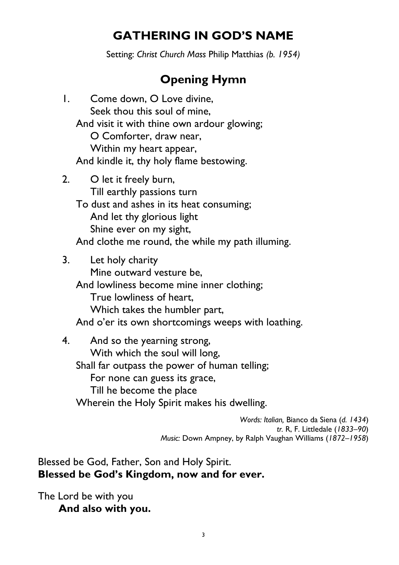# **GATHERING IN GOD'S NAME**

Setting: *Christ Church Mass* Philip Matthias *(b. 1954)* 

# **Opening Hymn**

1. Come down, O Love divine, Seek thou this soul of mine, And visit it with thine own ardour glowing; O Comforter, draw near, Within my heart appear, And kindle it, thy holy flame bestowing. 2. O let it freely burn, Till earthly passions turn To dust and ashes in its heat consuming; And let thy glorious light Shine ever on my sight, And clothe me round, the while my path illuming. 3. Let holy charity

Mine outward vesture be, And lowliness become mine inner clothing; True lowliness of heart, Which takes the humbler part, And o'er its own shortcomings weeps with loathing.

4. And so the yearning strong, With which the soul will long, Shall far outpass the power of human telling; For none can guess its grace, Till he become the place Wherein the Holy Spirit makes his dwelling.

> *Words: Italian,* Bianco da Siena (*d. 1434*) *tr.* R, F. Littledale (*1833–90*) *Music:* Down Ampney, by Ralph Vaughan Williams (*1872–1958*)

Blessed be God, Father, Son and Holy Spirit. **Blessed be God's Kingdom, now and for ever.**

The Lord be with you **And also with you.**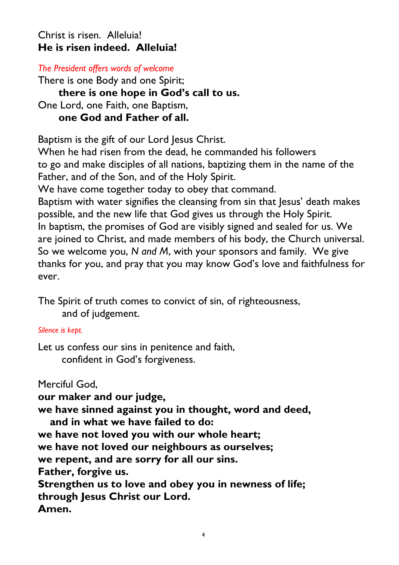## Christ is risen. Alleluia! **He is risen indeed. Alleluia!**

### *The President offers words of welcome*

There is one Body and one Spirit;

**there is one hope in God's call to us.**

One Lord, one Faith, one Baptism,

## **one God and Father of all.**

Baptism is the gift of our Lord Jesus Christ.

When he had risen from the dead, he commanded his followers to go and make disciples of all nations, baptizing them in the name of the Father, and of the Son, and of the Holy Spirit.

We have come together today to obey that command.

Baptism with water signifies the cleansing from sin that Jesus' death makes possible, and the new life that God gives us through the Holy Spirit. In baptism, the promises of God are visibly signed and sealed for us. We are joined to Christ, and made members of his body, the Church universal. So we welcome you, *N and M*, with your sponsors and family. We give thanks for you, and pray that you may know God's love and faithfulness for ever.

The Spirit of truth comes to convict of sin, of righteousness, and of judgement.

### *Silence is kept.*

Let us confess our sins in penitence and faith, confident in God's forgiveness.

## Merciful God,

**our maker and our judge, we have sinned against you in thought, word and deed, and in what we have failed to do: we have not loved you with our whole heart; we have not loved our neighbours as ourselves; we repent, and are sorry for all our sins. Father, forgive us. Strengthen us to love and obey you in newness of life; through Jesus Christ our Lord. Amen.**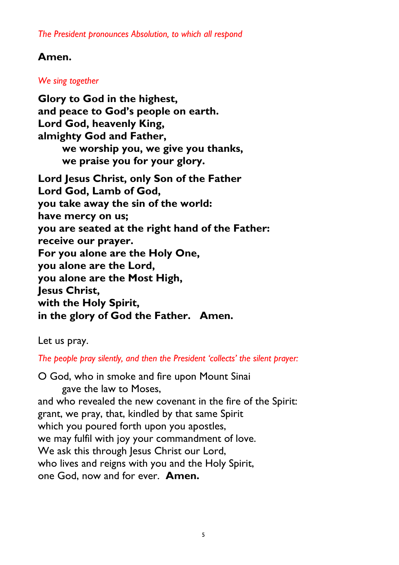*The President pronounces Absolution, to which all respond* 

## **Amen.**

## *We sing together*

**Glory to God in the highest, and peace to God's people on earth. Lord God, heavenly King, almighty God and Father, we worship you, we give you thanks, we praise you for your glory. Lord Jesus Christ, only Son of the Father Lord God, Lamb of God, you take away the sin of the world: have mercy on us; you are seated at the right hand of the Father: receive our prayer. For you alone are the Holy One, you alone are the Lord, you alone are the Most High, Jesus Christ, with the Holy Spirit, in the glory of God the Father. Amen.**

Let us pray.

*The people pray silently, and then the President 'collects' the silent prayer:*

O God, who in smoke and fire upon Mount Sinai gave the law to Moses, and who revealed the new covenant in the fire of the Spirit: grant, we pray, that, kindled by that same Spirit which you poured forth upon you apostles, we may fulfil with joy your commandment of love. We ask this through Jesus Christ our Lord, who lives and reigns with you and the Holy Spirit, one God, now and for ever. **Amen.**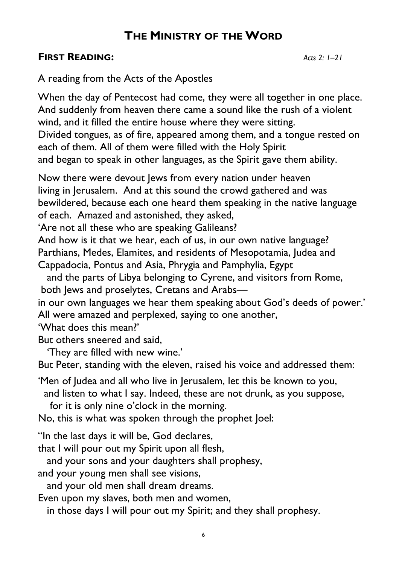## **THE MINISTRY OF THE WORD**

## **FIRST READING:** *Acts 2: 1–21*

A reading from the Acts of the Apostles

When the day of Pentecost had come, they were all together in one place. And suddenly from heaven there came a sound like the rush of a violent wind, and it filled the entire house where they were sitting. Divided tongues, as of fire, appeared among them, and a tongue rested on each of them. All of them were filled with the Holy Spirit and began to speak in other languages, as the Spirit gave them ability.

Now there were devout lews from every nation under heaven living in Jerusalem. And at this sound the crowd gathered and was bewildered, because each one heard them speaking in the native language of each. Amazed and astonished, they asked,

'Are not all these who are speaking Galileans?

And how is it that we hear, each of us, in our own native language? Parthians, Medes, Elamites, and residents of Mesopotamia, Judea and Cappadocia, Pontus and Asia, Phrygia and Pamphylia, Egypt

 and the parts of Libya belonging to Cyrene, and visitors from Rome, both Jews and proselytes, Cretans and Arabs—

in our own languages we hear them speaking about God's deeds of power.' All were amazed and perplexed, saying to one another,

'What does this mean?'

But others sneered and said,

'They are filled with new wine.'

But Peter, standing with the eleven, raised his voice and addressed them:

'Men of Judea and all who live in Jerusalem, let this be known to you, and listen to what I say. Indeed, these are not drunk, as you suppose, for it is only nine o'clock in the morning.

No, this is what was spoken through the prophet Joel:

"In the last days it will be, God declares,

that I will pour out my Spirit upon all flesh,

and your sons and your daughters shall prophesy,

and your young men shall see visions,

and your old men shall dream dreams.

Even upon my slaves, both men and women,

in those days I will pour out my Spirit; and they shall prophesy.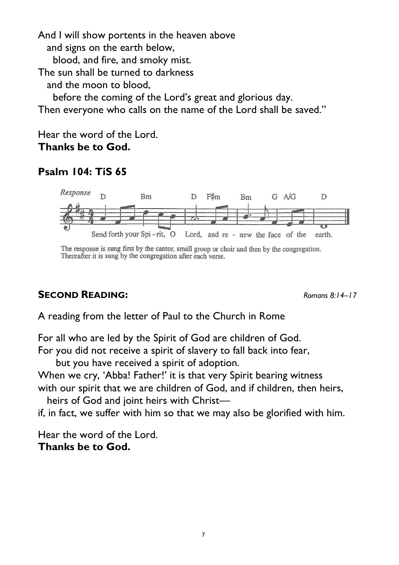And I will show portents in the heaven above and signs on the earth below, blood, and fire, and smoky mist. The sun shall be turned to darkness and the moon to blood, before the coming of the Lord's great and glorious day.

Then everyone who calls on the name of the Lord shall be saved."

Hear the word of the Lord. **Thanks be to God.** 

## **Psalm 104: TiS 65**



The response is sung first by the cantor, small group or choir and then by the congregation. Thereafter it is sung by the congregation after each verse.

## **SECOND READING:** *Romans 8:14–17*

A reading from the letter of Paul to the Church in Rome

For all who are led by the Spirit of God are children of God. For you did not receive a spirit of slavery to fall back into fear,

but you have received a spirit of adoption.

When we cry, 'Abba! Father!' it is that very Spirit bearing witness with our spirit that we are children of God, and if children, then heirs,

heirs of God and joint heirs with Christ—

if, in fact, we suffer with him so that we may also be glorified with him.

Hear the word of the Lord. **Thanks be to God.**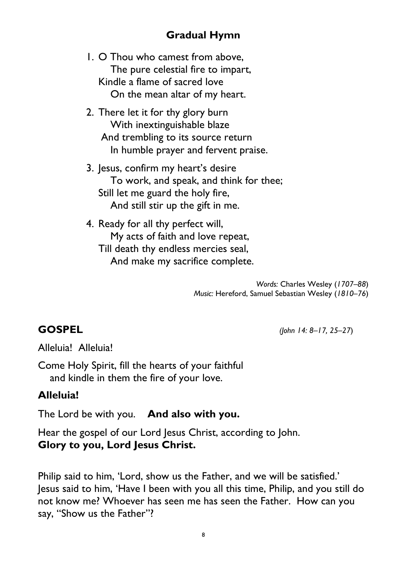## **Gradual Hymn**

- 1. O Thou who camest from above, The pure celestial fire to impart, Kindle a flame of sacred love On the mean altar of my heart.
- 2. There let it for thy glory burn With inextinguishable blaze And trembling to its source return In humble prayer and fervent praise.
- 3. Jesus, confirm my heart's desire To work, and speak, and think for thee; Still let me guard the holy fire, And still stir up the gift in me.
- 4. Ready for all thy perfect will, My acts of faith and love repeat, Till death thy endless mercies seal, And make my sacrifice complete.

*Words:* Charles Wesley (*1707–88*) *Music:* Hereford, Samuel Sebastian Wesley (*1810–76*)

**GOSPEL** *(John 14: 8–17, 25–27*)

Alleluia! Alleluia!

Come Holy Spirit, fill the hearts of your faithful and kindle in them the fire of your love.

## **Alleluia!**

The Lord be with you. **And also with you.** 

Hear the gospel of our Lord Jesus Christ, according to John. **Glory to you, Lord Jesus Christ.** 

Philip said to him, 'Lord, show us the Father, and we will be satisfied.' Jesus said to him, 'Have I been with you all this time, Philip, and you still do not know me? Whoever has seen me has seen the Father. How can you say, "Show us the Father"?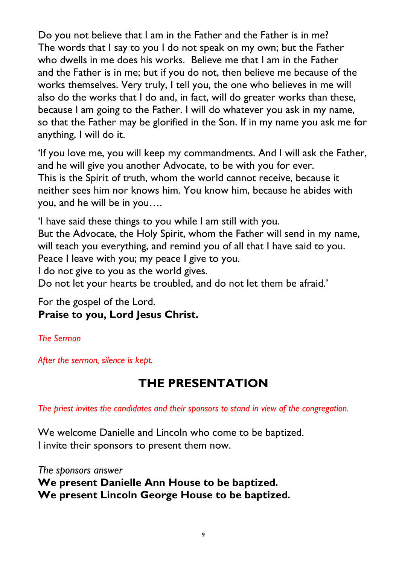Do you not believe that I am in the Father and the Father is in me? The words that I say to you I do not speak on my own; but the Father who dwells in me does his works. Believe me that I am in the Father and the Father is in me; but if you do not, then believe me because of the works themselves. Very truly, I tell you, the one who believes in me will also do the works that I do and, in fact, will do greater works than these, because I am going to the Father. I will do whatever you ask in my name, so that the Father may be glorified in the Son. If in my name you ask me for anything, I will do it.

'If you love me, you will keep my commandments. And I will ask the Father, and he will give you another Advocate, to be with you for ever. This is the Spirit of truth, whom the world cannot receive, because it neither sees him nor knows him. You know him, because he abides with you, and he will be in you….

'I have said these things to you while I am still with you.

But the Advocate, the Holy Spirit, whom the Father will send in my name, will teach you everything, and remind you of all that I have said to you.

Peace I leave with you; my peace I give to you.

I do not give to you as the world gives.

Do not let your hearts be troubled, and do not let them be afraid.'

For the gospel of the Lord. **Praise to you, Lord Jesus Christ.** 

### *The Sermon*

*After the sermon, silence is kept.* 

# **THE PRESENTATION**

*The priest invites the candidates and their sponsors to stand in view of the congregation.* 

We welcome Danielle and Lincoln who come to be baptized. I invite their sponsors to present them now.

*The sponsors answer* **We present Danielle Ann House to be baptized***.*  **We present Lincoln George House to be baptized***.*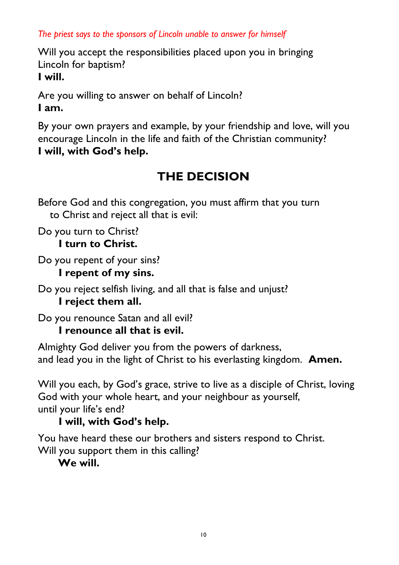*The priest says to the sponsors of Lincoln unable to answer for himself* 

Will you accept the responsibilities placed upon you in bringing Lincoln for baptism? **I will.** 

Are you willing to answer on behalf of Lincoln? **I am.** 

By your own prayers and example, by your friendship and love, will you encourage Lincoln in the life and faith of the Christian community? **I will, with God's help.**

# **THE DECISION**

Before God and this congregation, you must affirm that you turn to Christ and reject all that is evil:

Do you turn to Christ? **I turn to Christ.**

Do you repent of your sins?

**I repent of my sins.**

Do you reject selfish living, and all that is false and unjust? **I reject them all.**

Do you renounce Satan and all evil?

**I renounce all that is evil.**

Almighty God deliver you from the powers of darkness, and lead you in the light of Christ to his everlasting kingdom. **Amen.** 

Will you each, by God's grace, strive to live as a disciple of Christ, loving God with your whole heart, and your neighbour as yourself, until your life's end?

## **I will, with God's help.**

You have heard these our brothers and sisters respond to Christ. Will you support them in this calling?

**We will.**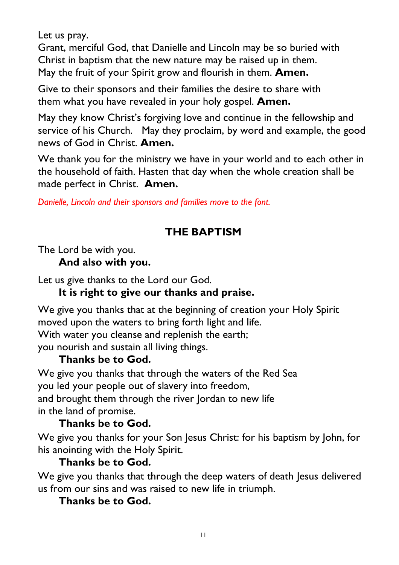Let us pray.

Grant, merciful God, that Danielle and Lincoln may be so buried with Christ in baptism that the new nature may be raised up in them. May the fruit of your Spirit grow and flourish in them. **Amen.**

Give to their sponsors and their families the desire to share with them what you have revealed in your holy gospel. **Amen.** 

May they know Christ's forgiving love and continue in the fellowship and service of his Church. May they proclaim, by word and example, the good news of God in Christ. **Amen.**

We thank you for the ministry we have in your world and to each other in the household of faith. Hasten that day when the whole creation shall be made perfect in Christ. **Amen.**

*Danielle, Lincoln and their sponsors and families move to the font.* 

# **THE BAPTISM**

The Lord be with you.

## **And also with you.**

Let us give thanks to the Lord our God.

## **It is right to give our thanks and praise.**

We give you thanks that at the beginning of creation your Holy Spirit moved upon the waters to bring forth light and life. With water you cleanse and replenish the earth; you nourish and sustain all living things.

## **Thanks be to God.**

We give you thanks that through the waters of the Red Sea you led your people out of slavery into freedom, and brought them through the river Jordan to new life in the land of promise.

## **Thanks be to God.**

We give you thanks for your Son Jesus Christ: for his baptism by John, for his anointing with the Holy Spirit.

## **Thanks be to God.**

We give you thanks that through the deep waters of death Jesus delivered us from our sins and was raised to new life in triumph.

## **Thanks be to God.**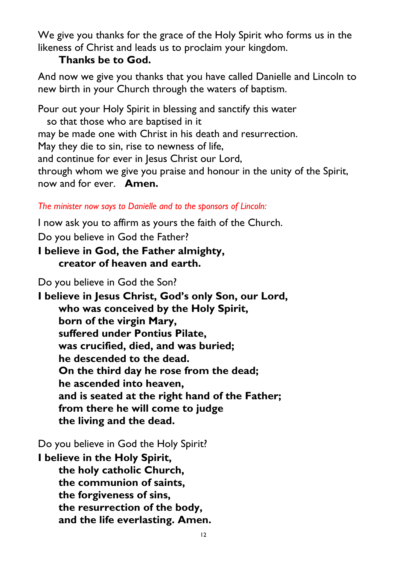We give you thanks for the grace of the Holy Spirit who forms us in the likeness of Christ and leads us to proclaim your kingdom.

## **Thanks be to God.**

And now we give you thanks that you have called Danielle and Lincoln to new birth in your Church through the waters of baptism.

Pour out your Holy Spirit in blessing and sanctify this water so that those who are baptised in it may be made one with Christ in his death and resurrection. May they die to sin, rise to newness of life, and continue for ever in Jesus Christ our Lord, through whom we give you praise and honour in the unity of the Spirit, now and for ever. **Amen.**

## *The minister now says to Danielle and to the sponsors of Lincoln:*

I now ask you to affirm as yours the faith of the Church.

Do you believe in God the Father?

## **I believe in God, the Father almighty, creator of heaven and earth.**

Do you believe in God the Son?

**I believe in Jesus Christ, God's only Son, our Lord, who was conceived by the Holy Spirit, born of the virgin Mary, suffered under Pontius Pilate, was crucified, died, and was buried; he descended to the dead. On the third day he rose from the dead; he ascended into heaven, and is seated at the right hand of the Father; from there he will come to judge the living and the dead.** 

Do you believe in God the Holy Spirit?

**I believe in the Holy Spirit, the holy catholic Church, the communion of saints, the forgiveness of sins, the resurrection of the body, and the life everlasting. Amen.**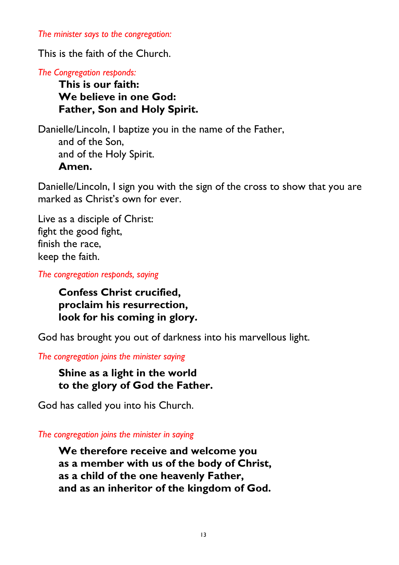*The minister says to the congregation:* 

This is the faith of the Church.

*The Congregation responds:* 

**This is our faith: We believe in one God: Father, Son and Holy Spirit.**

Danielle/Lincoln, I baptize you in the name of the Father, and of the Son, and of the Holy Spirit. **Amen.**

Danielle/Lincoln, I sign you with the sign of the cross to show that you are marked as Christ's own for ever.

Live as a disciple of Christ: fight the good fight, finish the race, keep the faith.

*The congregation responds, saying* 

**Confess Christ crucified, proclaim his resurrection, look for his coming in glory.**

God has brought you out of darkness into his marvellous light.

*The congregation joins the minister saying* 

**Shine as a light in the world to the glory of God the Father.**

God has called you into his Church.

*The congregation joins the minister in saying* 

**We therefore receive and welcome you as a member with us of the body of Christ, as a child of the one heavenly Father, and as an inheritor of the kingdom of God.**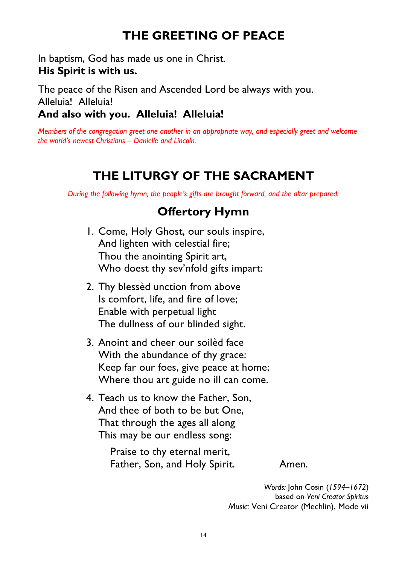# **THE GREETING OF PEACE**

In baptism, God has made us one in Christ. **His Spirit is with us.** 

The peace of the Risen and Ascended Lord be always with you. Alleluia! Alleluia! **And also with you. Alleluia! Alleluia!** 

*Members of the congregation greet one another in an appropriate way, and especially greet and welcome the world's newest Christians – Danielle and Lincoln.* 

# **THE LITURGY OF THE SACRAMENT**

*During the following hymn, the people's gifts are brought forward, and the altar prepared.*

# **Offertory Hymn**

- 1. Come, Holy Ghost, our souls inspire, And lighten with celestial fire; Thou the anointing Spirit art, Who doest thy sev'nfold gifts impart:
- 2. Thy blessèd unction from above Is comfort, life, and fire of love; Enable with perpetual light The dullness of our blinded sight.
- 3. Anoint and cheer our soilèd face With the abundance of thy grace: Keep far our foes, give peace at home; Where thou art guide no ill can come.
- 4. Teach us to know the Father, Son, And thee of both to be but One, That through the ages all along This may be our endless song:

Praise to thy eternal merit, Father, Son, and Holy Spirit. Amen.

*Words:* John Cosin (*1594–1672*) based on *Veni Creator Spiritus Music:* Veni Creator (Mechlin), Mode vii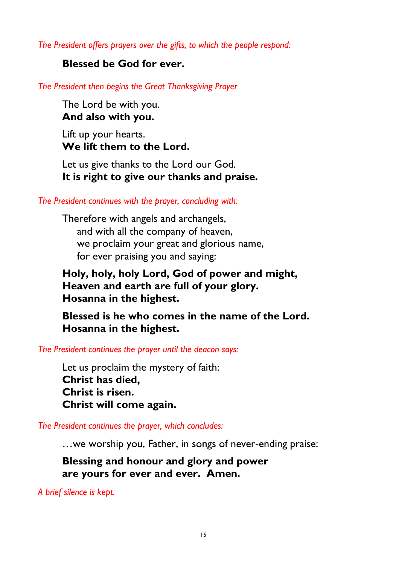*The President offers prayers over the gifts, to which the people respond:* 

## **Blessed be God for ever.**

*The President then begins the Great Thanksgiving Prayer* 

The Lord be with you. **And also with you.** 

Lift up your hearts. **We lift them to the Lord.** 

Let us give thanks to the Lord our God. **It is right to give our thanks and praise.** 

*The President continues with the prayer, concluding with:* 

Therefore with angels and archangels, and with all the company of heaven, we proclaim your great and glorious name, for ever praising you and saying:

**Holy, holy, holy Lord, God of power and might, Heaven and earth are full of your glory. Hosanna in the highest.** 

**Blessed is he who comes in the name of the Lord. Hosanna in the highest.** 

*The President continues the prayer until the deacon says:* 

Let us proclaim the mystery of faith: **Christ has died, Christ is risen. Christ will come again.** 

*The President continues the prayer, which concludes:* 

…we worship you, Father, in songs of never-ending praise:

**Blessing and honour and glory and power are yours for ever and ever. Amen.** 

*A brief silence is kept.*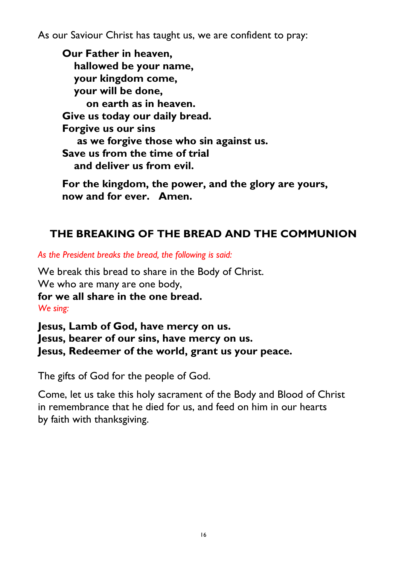As our Saviour Christ has taught us, we are confident to pray:

**Our Father in heaven, hallowed be your name, your kingdom come, your will be done, on earth as in heaven. Give us today our daily bread. Forgive us our sins as we forgive those who sin against us. Save us from the time of trial and deliver us from evil.** 

 **For the kingdom, the power, and the glory are yours, now and for ever. Amen.** 

## **THE BREAKING OF THE BREAD AND THE COMMUNION**

*As the President breaks the bread, the following is said:* 

We break this bread to share in the Body of Christ. We who are many are one body, **for we all share in the one bread.**  *We sing:* 

**Jesus, Lamb of God, have mercy on us. Jesus, bearer of our sins, have mercy on us. Jesus, Redeemer of the world, grant us your peace.** 

The gifts of God for the people of God.

Come, let us take this holy sacrament of the Body and Blood of Christ in remembrance that he died for us, and feed on him in our hearts by faith with thanksgiving.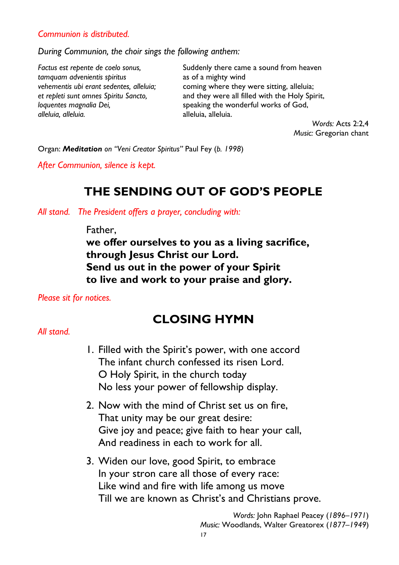#### *Communion is distributed.*

*During Communion, the choir sings the following anthem:* 

*tamquam advenientis spiritus* as of a mighty wind *alleluia, alleluia.* alleluia, alleluia.

*Factus est repente de coelo sonus,* Suddenly there came a sound from heaven *vehementis ubi erant sedentes, alleluia;* coming where they were sitting, alleluia; *et repleti sunt omnes Spiritu Sancto,* and they were all filled with the Holy Spirit, *loquentes magnalia Dei,* extending the wonderful works of God,

*Words:* Acts 2:2,4 *Music:* Gregorian chant

Organ: *Meditation on "Veni Creator Spiritus"* Paul Fey (*b. 1998*)

*After Communion, silence is kept.* 

# **THE SENDING OUT OF GOD'S PEOPLE**

*All stand. The President offers a prayer, concluding with:* 

Father,

**we offer ourselves to you as a living sacrifice, through Jesus Christ our Lord. Send us out in the power of your Spirit to live and work to your praise and glory.** 

*Please sit for notices.* 

## **CLOSING HYMN**

#### *All stand.*

- 1. Filled with the Spirit's power, with one accord The infant church confessed its risen Lord. O Holy Spirit, in the church today No less your power of fellowship display.
- 2. Now with the mind of Christ set us on fire, That unity may be our great desire: Give joy and peace; give faith to hear your call, And readiness in each to work for all.
- 3. Widen our love, good Spirit, to embrace In your stron care all those of every race: Like wind and fire with life among us move Till we are known as Christ's and Christians prove.

*Words:* John Raphael Peacey (*1896–1971*) *Music:* Woodlands, Walter Greatorex (*1877–1949*)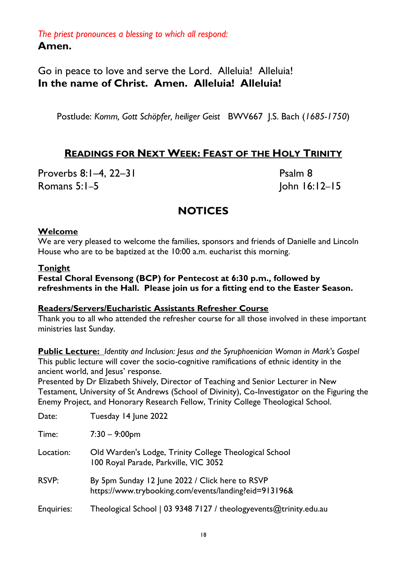*The priest pronounces a blessing to which all respond:*  **Amen.** 

Go in peace to love and serve the Lord. Alleluia! Alleluia! **In the name of Christ. Amen. Alleluia! Alleluia!** 

Postlude: *Komm, Gott Schöpfer, heiliger Geist* BWV667 J.S. Bach (*1685-1750*)

## **READINGS FOR NEXT WEEK: FEAST OF THE HOLY TRINITY**

Proverbs 8:1–4, 22–31 Proverses 8:1–4, 22–31 Romans 5:1–5 John 16:12–15

## **NOTICES**

#### **Welcome**

We are very pleased to welcome the families, sponsors and friends of Danielle and Lincoln House who are to be baptized at the 10:00 a.m. eucharist this morning.

#### **Tonight**

### **Festal Choral Evensong (BCP) for Pentecost at 6:30 p.m., followed by refreshments in the Hall. Please join us for a fitting end to the Easter Season.**

#### **Readers/Servers/Eucharistic Assistants Refresher Course**

Thank you to all who attended the refresher course for all those involved in these important ministries last Sunday.

**Public Lecture:** *Identity and Inclusion: Jesus and the Syruphoenician Woman in Mark's Gospel*  This public lecture will cover the socio-cognitive ramifications of ethnic identity in the ancient world, and Jesus' response.

Presented by Dr Elizabeth Shively, Director of Teaching and Senior Lecturer in New Testament, University of St Andrews (School of Divinity), Co-Investigator on the Figuring the Enemy Project, and Honorary Research Fellow, Trinity College Theological School.

| Date:      | Tuesday 14 June 2022                                                                                     |
|------------|----------------------------------------------------------------------------------------------------------|
| Time:      | $7:30 - 9:00$ pm                                                                                         |
| Location:  | Old Warden's Lodge, Trinity College Theological School<br>100 Royal Parade, Parkville, VIC 3052          |
| RSVP:      | By 5pm Sunday 12 June 2022 / Click here to RSVP<br>https://www.trybooking.com/events/landing?eid=913196& |
| Enquiries: | Theological School   03 9348 7127 / theologyevents@trinity.edu.au                                        |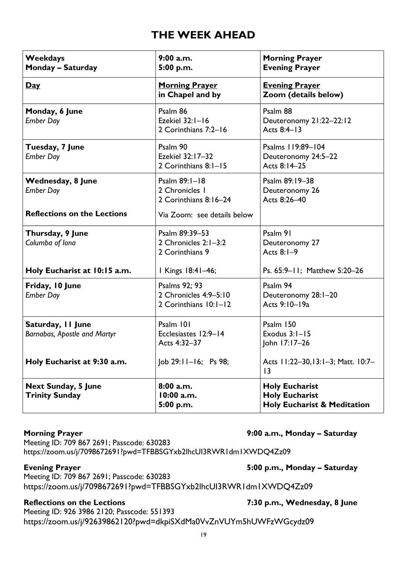## **THE WEEK AHEAD**

| <b>Weekdays</b><br><b>Monday - Saturday</b>         | 9:00 a.m.<br>5:00 p.m.                                          | <b>Morning Prayer</b><br><b>Evening Prayer</b>                                           |
|-----------------------------------------------------|-----------------------------------------------------------------|------------------------------------------------------------------------------------------|
| <u>Day</u>                                          | <b>Morning Prayer</b><br>in Chapel and by                       | <b>Evening Prayer</b><br>Zoom (details below)                                            |
| Monday, 6 June<br><b>Ember Day</b>                  | Psalm 86<br>Ezekiel $32:1-16$<br>2 Corinthians 7:2-16           | Psalm 88<br>Deuteronomy 21:22-22:12<br>Acts 8:4-13                                       |
| Tuesday, 7 June<br><b>Ember Day</b>                 | Psalm 90<br>Ezekiel 32:17-32<br>2 Corinthians 8:1-15            | Psalms 119:89-104<br>Deuteronomy 24:5-22<br>Acts 8:14-25                                 |
| <b>Wednesday, 8 June</b><br><b>Ember Day</b>        | Psalm 89:1-18<br>2 Chronicles 1<br>2 Corinthians 8:16-24        | Psalm 89:19-38<br>Deuteronomy 26<br>Acts 8:26-40                                         |
| <b>Reflections on the Lections</b>                  | Via Zoom: see details below                                     |                                                                                          |
| Thursday, 9 June<br>Columba of Iona                 | Psalm 89:39-53<br>2 Chronicles 2:1-3:2<br>2 Corinthians 9       | Psalm 91<br>Deuteronomy 27<br>Acts 8:1-9                                                 |
| Holy Eucharist at 10:15 a.m.                        | Kings 18:41-46;                                                 | Ps. 65:9-11; Matthew 5:20-26                                                             |
| Friday, 10 June<br><b>Ember Day</b>                 | Psalms 92; 93<br>2 Chronicles 4:9-5:10<br>2 Corinthians 10:1-12 | Psalm 94<br>Deuteronomy 28:1-20<br>Acts 9:10-19a                                         |
| Saturday, II June<br>Barnabas, Apostle and Martyr   | Psalm 101<br>Ecclesiastes 12:9-14<br>Acts 4:32-37               | Psalm 150<br>Exodus 3:1-15<br>John 17:17-26                                              |
| Holy Eucharist at 9:30 a.m.                         | $ $ ob 29:11-16; Ps 98;                                         | Acts 11:22-30, 13:1-3; Matt. 10:7-<br>$\overline{13}$                                    |
| <b>Next Sunday, 5 June</b><br><b>Trinity Sunday</b> | 8:00 a.m.<br>$10:00$ a.m.<br>5:00 p.m.                          | <b>Holy Eucharist</b><br><b>Holy Eucharist</b><br><b>Holy Eucharist &amp; Meditation</b> |

### Meeting ID: 709 867 2691; Passcode: 630283 https://zoom.us/j/7098672691?pwd=TFBBSGYxb2lhcUI3RWR1dm1XWDQ4Zz09

Meeting ID: 709 867 2691; Passcode: 630283 <https://zoom.us/j/7098672691?pwd=TFBBSGYxb2lhcUI3RWR1dm1XWDQ4Zz09>

#### **Reflections on the Lections 7:30 p.m., Wednesday, 8 June**

Meeting ID: 926 3986 2120; Passcode: 551393 <https://zoom.us/j/92639862120?pwd=dkpiSXdMa0VvZnVUYm5hUWFzWGcydz09>

**Evening Prayer 19. In the set of the Second Line State 3:00 p.m., Monday - Saturday and State 3:00 p.m.** 

### **Morning Prayer 19:00 a.m., Monday - Saturday 19:00 a.m., Monday - Saturday in the same of the same of the same of the same of the same of the same of the same of the same of the same of the same of the same of the same of**